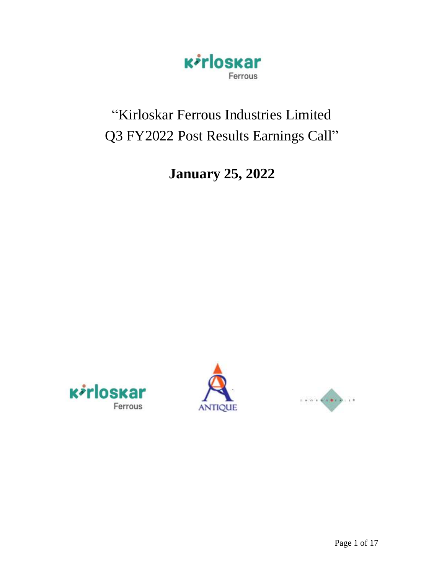

# "Kirloskar Ferrous Industries Limited Q3 FY2022 Post Results Earnings Call"

# **January 25, 2022**





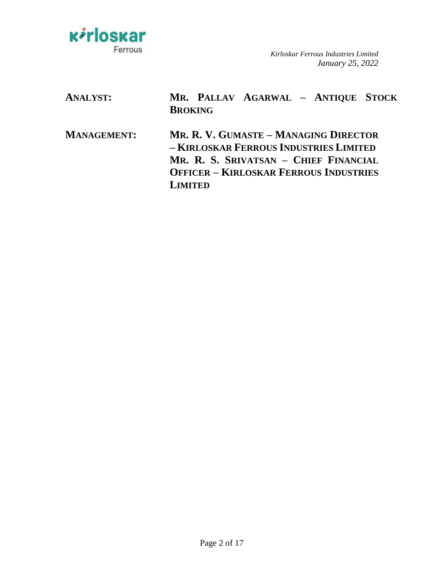

| <b>ANALYST:</b>    | MR. PALLAV AGARWAL - ANTIQUE STOCK<br><b>BROKING</b>                                                                                                                                        |
|--------------------|---------------------------------------------------------------------------------------------------------------------------------------------------------------------------------------------|
| <b>MANAGEMENT:</b> | MR. R. V. GUMASTE - MANAGING DIRECTOR<br>- KIRLOSKAR FERROUS INDUSTRIES LIMITED<br>MR. R. S. SRIVATSAN - CHIEF FINANCIAL<br><b>OFFICER - KIRLOSKAR FERROUS INDUSTRIES</b><br><b>LIMITED</b> |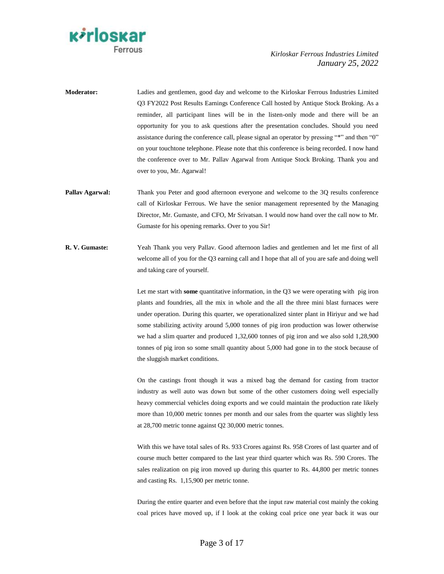

- **Moderator:** Ladies and gentlemen, good day and welcome to the Kirloskar Ferrous Industries Limited Q3 FY2022 Post Results Earnings Conference Call hosted by Antique Stock Broking. As a reminder, all participant lines will be in the listen-only mode and there will be an opportunity for you to ask questions after the presentation concludes. Should you need assistance during the conference call, please signal an operator by pressing "\*" and then "0" on your touchtone telephone. Please note that this conference is being recorded. I now hand the conference over to Mr. Pallav Agarwal from Antique Stock Broking. Thank you and over to you, Mr. Agarwal!
- **Pallav Agarwal:** Thank you Peter and good afternoon everyone and welcome to the 3Q results conference call of Kirloskar Ferrous. We have the senior management represented by the Managing Director, Mr. Gumaste, and CFO, Mr Srivatsan. I would now hand over the call now to Mr. Gumaste for his opening remarks. Over to you Sir!
- **R. V. Gumaste:** Yeah Thank you very Pallav. Good afternoon ladies and gentlemen and let me first of all welcome all of you for the Q3 earning call and I hope that all of you are safe and doing well and taking care of yourself.

Let me start with **some** quantitative information, in the Q3 we were operating with pig iron plants and foundries, all the mix in whole and the all the three mini blast furnaces were under operation. During this quarter, we operationalized sinter plant in Hiriyur and we had some stabilizing activity around 5,000 tonnes of pig iron production was lower otherwise we had a slim quarter and produced 1,32,600 tonnes of pig iron and we also sold 1,28,900 tonnes of pig iron so some small quantity about 5,000 had gone in to the stock because of the sluggish market conditions.

On the castings front though it was a mixed bag the demand for casting from tractor industry as well auto was down but some of the other customers doing well especially heavy commercial vehicles doing exports and we could maintain the production rate likely more than 10,000 metric tonnes per month and our sales from the quarter was slightly less at 28,700 metric tonne against Q2 30,000 metric tonnes.

With this we have total sales of Rs. 933 Crores against Rs. 958 Crores of last quarter and of course much better compared to the last year third quarter which was Rs. 590 Crores. The sales realization on pig iron moved up during this quarter to Rs. 44,800 per metric tonnes and casting Rs. 1,15,900 per metric tonne.

During the entire quarter and even before that the input raw material cost mainly the coking coal prices have moved up, if I look at the coking coal price one year back it was our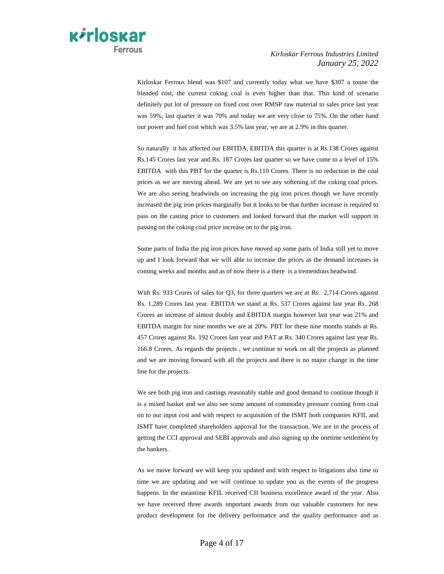

Kirloskar Ferrous blend was \$107 and currently today what we have \$307 a tonne the blended cost, the current coking coal is even higher than that. This kind of scenario definitely put lot of pressure on fixed cost over RMSP raw material to sales price last year was 59%, last quarter it was 70% and today we are very close to 75%. On the other hand our power and fuel cost which was 3.5% last year, we are at 2.9% in this quarter.

So naturally it has affected our EBITDA, EBITDA this quarter is at Rs.138 Crores against Rs.145 Crores last year and.Rs. 187 Crores last quarter so we have come to a level of 15% EBITDA with this PBT for the quarter is Rs.110 Crores. There is no reduction in the coal prices as we are moving ahead. We are yet to see any softening of the coking coal prices. We are also seeing headwinds on increasing the pig iron prices though we have recently increased the pig iron prices marginally but it looks to be that further increase is required to pass on the casting price to customers and looked forward that the market will support in passing on the coking coal price increase on to the pig iron.

Some parts of India the pig iron prices have moved up some parts of India still yet to move up and I look forward that we will able to increase the prices as the demand increases in coming weeks and months and as of now there is a there is a tremendous headwind.

With Rs. 933 Crores of sales for Q3, for three quarters we are at Rs. 2,714 Crores against Rs. 1,289 Crores last year. EBITDA we stand at Rs. 537 Crores against last year Rs. 268 Crores an increase of almost doubly and EBITDA margin however last year was 21% and EBITDA margin for nine months we are at 20%. PBT for these nine months stands at Rs. 457 Crores against Rs. 192 Crores last year and PAT at Rs. 340 Crores against last year Rs. 166.8 Crores. As regards the projects , we continue to work on all the projects as planned and we are moving forward with all the projects and there is no major change in the time line for the projects.

We see both pig iron and castings reasonably stable and good demand to continue though it is a mixed basket and we also see some amount of commodity pressure coming from coal on to our input cost and with respect to acquisition of the ISMT both companies KFIL and ISMT have completed shareholders approval for the transaction. We are in the process of getting the CCI approval and SEBI approvals and also signing up the onetime settlement by the bankers.

As we move forward we will keep you updated and with respect to litigations also time to time we are updating and we will continue to update you as the events of the progress happens. In the meantime KFIL received CII business excellence award of the year. Also we have received three awards important awards from our valuable customers for new product development for the delivery performance and the quality performance and as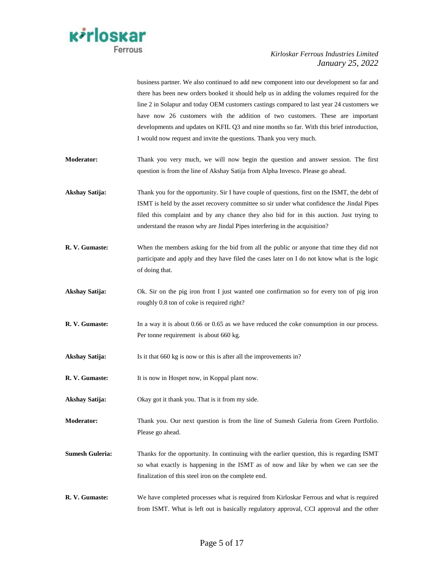

|                        | there has been new orders booked it should help us in adding the volumes required for the     |
|------------------------|-----------------------------------------------------------------------------------------------|
|                        | line 2 in Solapur and today OEM customers castings compared to last year 24 customers we      |
|                        | have now 26 customers with the addition of two customers. These are important                 |
|                        | developments and updates on KFIL Q3 and nine months so far. With this brief introduction,     |
|                        | I would now request and invite the questions. Thank you very much.                            |
| Moderator:             | Thank you very much, we will now begin the question and answer session. The first             |
|                        | question is from the line of Akshay Satija from Alpha Invesco. Please go ahead.               |
| Akshay Satija:         | Thank you for the opportunity. Sir I have couple of questions, first on the ISMT, the debt of |
|                        | ISMT is held by the asset recovery committee so sir under what confidence the Jindal Pipes    |
|                        | filed this complaint and by any chance they also bid for in this auction. Just trying to      |
|                        | understand the reason why are Jindal Pipes interfering in the acquisition?                    |
| R. V. Gumaste:         | When the members asking for the bid from all the public or anyone that time they did not      |
|                        | participate and apply and they have filed the cases later on I do not know what is the logic  |
|                        | of doing that.                                                                                |
|                        |                                                                                               |
| Akshay Satija:         | Ok. Sir on the pig iron front I just wanted one confirmation so for every ton of pig iron     |
|                        | roughly 0.8 ton of coke is required right?                                                    |
| R. V. Gumaste:         | In a way it is about 0.66 or 0.65 as we have reduced the coke consumption in our process.     |
|                        | Per tonne requirement is about 660 kg.                                                        |
| Akshay Satija:         | Is it that 660 kg is now or this is after all the improvements in?                            |
|                        |                                                                                               |
| R. V. Gumaste:         | It is now in Hospet now, in Koppal plant now.                                                 |
| Akshay Satija:         | Okay got it thank you. That is it from my side.                                               |
| <b>Moderator:</b>      | Thank you. Our next question is from the line of Sumesh Guleria from Green Portfolio.         |
|                        | Please go ahead.                                                                              |
| <b>Sumesh Guleria:</b> | Thanks for the opportunity. In continuing with the earlier question, this is regarding ISMT   |
|                        | so what exactly is happening in the ISMT as of now and like by when we can see the            |
|                        | finalization of this steel iron on the complete end.                                          |
| R. V. Gumaste:         | We have completed processes what is required from Kirloskar Ferrous and what is required      |
|                        | from ISMT. What is left out is basically regulatory approval, CCI approval and the other      |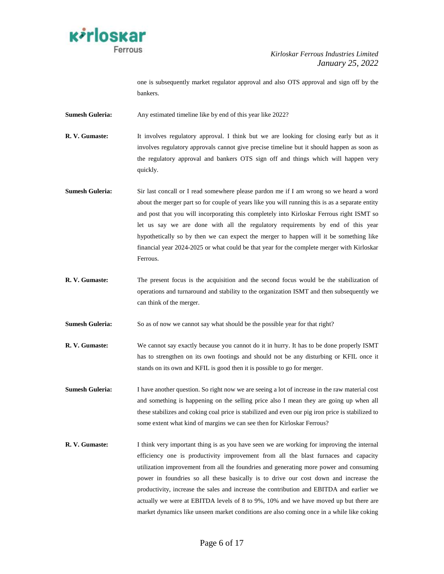

one is subsequently market regulator approval and also OTS approval and sign off by the bankers.

**Sumesh Guleria:** Any estimated timeline like by end of this year like 2022?

**R. V. Gumaste:** It involves regulatory approval. I think but we are looking for closing early but as it involves regulatory approvals cannot give precise timeline but it should happen as soon as the regulatory approval and bankers OTS sign off and things which will happen very quickly.

- **Sumesh Guleria:** Sir last concall or I read somewhere please pardon me if I am wrong so we heard a word about the merger part so for couple of years like you will running this is as a separate entity and post that you will incorporating this completely into Kirloskar Ferrous right ISMT so let us say we are done with all the regulatory requirements by end of this year hypothetically so by then we can expect the merger to happen will it be something like financial year 2024-2025 or what could be that year for the complete merger with Kirloskar Ferrous.
- **R. V. Gumaste:** The present focus is the acquisition and the second focus would be the stabilization of operations and turnaround and stability to the organization ISMT and then subsequently we can think of the merger.
- **Sumesh Guleria:** So as of now we cannot say what should be the possible year for that right?
- **R. V. Gumaste:** We cannot say exactly because you cannot do it in hurry. It has to be done properly ISMT has to strengthen on its own footings and should not be any disturbing or KFIL once it stands on its own and KFIL is good then it is possible to go for merger.
- **Sumesh Guleria:** I have another question. So right now we are seeing a lot of increase in the raw material cost and something is happening on the selling price also I mean they are going up when all these stabilizes and coking coal price is stabilized and even our pig iron price is stabilized to some extent what kind of margins we can see then for Kirloskar Ferrous?
- **R. V. Gumaste:** I think very important thing is as you have seen we are working for improving the internal efficiency one is productivity improvement from all the blast furnaces and capacity utilization improvement from all the foundries and generating more power and consuming power in foundries so all these basically is to drive our cost down and increase the productivity, increase the sales and increase the contribution and EBITDA and earlier we actually we were at EBITDA levels of 8 to 9%, 10% and we have moved up but there are market dynamics like unseen market conditions are also coming once in a while like coking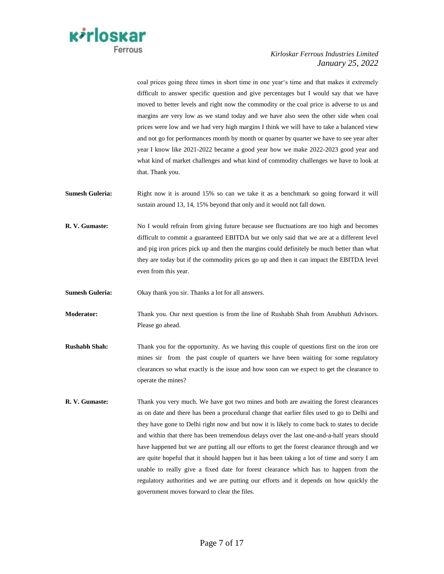

coal prices going three times in short time in one year"s time and that makes it extremely difficult to answer specific question and give percentages but I would say that we have moved to better levels and right now the commodity or the coal price is adverse to us and margins are very low as we stand today and we have also seen the other side when coal prices were low and we had very high margins I think we will have to take a balanced view and not go for performances month by month or quarter by quarter we have to see year after year I know like 2021-2022 became a good year how we make 2022-2023 good year and what kind of market challenges and what kind of commodity challenges we have to look at that. Thank you.

- **Sumesh Guleria:** Right now it is around 15% so can we take it as a benchmark so going forward it will sustain around 13, 14, 15% beyond that only and it would not fall down.
- **R. V. Gumaste:** No I would refrain from giving future because see fluctuations are too high and becomes difficult to commit a guaranteed EBITDA but we only said that we are at a different level and pig iron prices pick up and then the margins could definitely be much better than what they are today but if the commodity prices go up and then it can impact the EBITDA level even from this year.
- **Sumesh Guleria:** Okay thank you sir. Thanks a lot for all answers.
- **Moderator:** Thank you. Our next question is from the line of Rushabh Shah from Anubhuti Advisors. Please go ahead.
- **Rushabh Shah:** Thank you for the opportunity. As we having this couple of questions first on the iron ore mines sir from the past couple of quarters we have been waiting for some regulatory clearances so what exactly is the issue and how soon can we expect to get the clearance to operate the mines?
- **R. V. Gumaste:** Thank you very much. We have got two mines and both are awaiting the forest clearances as on date and there has been a procedural change that earlier files used to go to Delhi and they have gone to Delhi right now and but now it is likely to come back to states to decide and within that there has been tremendous delays over the last one-and-a-half years should have happened but we are putting all our efforts to get the forest clearance through and we are quite hopeful that it should happen but it has been taking a lot of time and sorry I am unable to really give a fixed date for forest clearance which has to happen from the regulatory authorities and we are putting our efforts and it depends on how quickly the government moves forward to clear the files.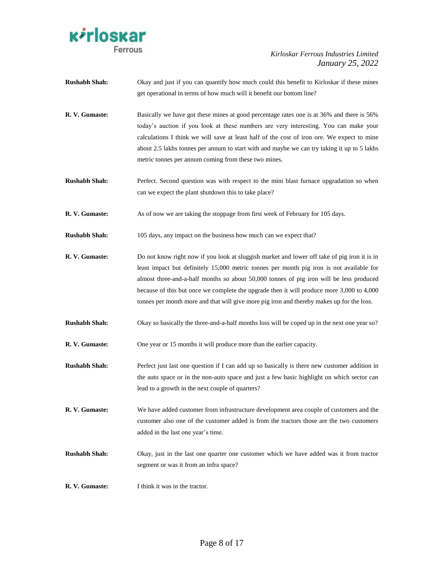

| <b>Rushabh Shah:</b> | Okay and just if you can quantify how much could this benefit to Kirloskar if these mines     |
|----------------------|-----------------------------------------------------------------------------------------------|
|                      | get operational in terms of how much will it benefit our bottom line?                         |
| R. V. Gumaste:       | Basically we have got these mines at good percentage rates one is at 36% and there is 56%     |
|                      | today's auction if you look at these numbers are very interesting. You can make your          |
|                      | calculations I think we will save at least half of the cost of iron ore. We expect to mine    |
|                      | about 2.5 lakhs tonnes per annum to start with and maybe we can try taking it up to 5 lakhs   |
|                      | metric tonnes per annum coming from these two mines.                                          |
| <b>Rushabh Shah:</b> | Perfect. Second question was with respect to the mini blast furnace upgradation so when       |
|                      | can we expect the plant shutdown this to take place?                                          |
| R. V. Gumaste:       | As of now we are taking the stoppage from first week of February for 105 days.                |
| <b>Rushabh Shah:</b> | 105 days, any impact on the business how much can we expect that?                             |
| R. V. Gumaste:       | Do not know right now if you look at sluggish market and lower off take of pig iron it is in  |
|                      | least impact but definitely 15,000 metric tonnes per month pig iron is not available for      |
|                      | almost three-and-a-half months so about 50,000 tonnes of pig iron will be less produced       |
|                      | because of this but once we complete the upgrade then it will produce more 3,000 to 4,000     |
|                      | tonnes per month more and that will give more pig iron and thereby makes up for the loss.     |
| <b>Rushabh Shah:</b> | Okay so basically the three-and-a-half months loss will be coped up in the next one year so?  |
| R. V. Gumaste:       | One year or 15 months it will produce more than the earlier capacity.                         |
| <b>Rushabh Shah:</b> | Perfect just last one question if I can add up so basically is there new customer addition in |
|                      | the auto space or in the non-auto space and just a few basic highlight on which sector can    |
|                      | lead to a growth in the next couple of quarters?                                              |
| R. V. Gumaste:       | We have added customer from infrastructure development area couple of customers and the       |
|                      | customer also one of the customer added is from the tractors those are the two customers      |
|                      | added in the last one year's time.                                                            |
| <b>Rushabh Shah:</b> | Okay, just in the last one quarter one customer which we have added was it from tractor       |

**R. V. Gumaste:** I think it was in the tractor.

segment or was it from an infra space?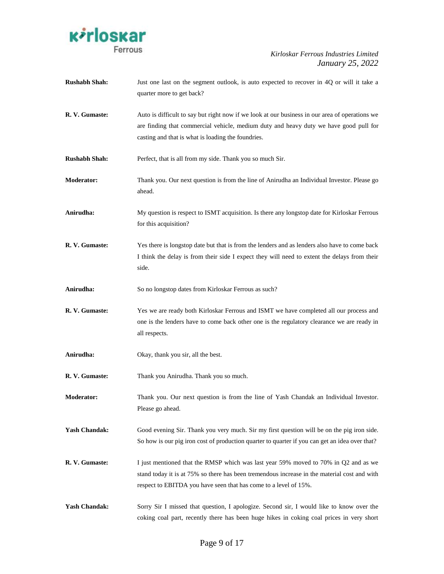

| <b>Rushabh Shah:</b> | Just one last on the segment outlook, is auto expected to recover in 4Q or will it take a<br>quarter more to get back?                                                                                                                                  |
|----------------------|---------------------------------------------------------------------------------------------------------------------------------------------------------------------------------------------------------------------------------------------------------|
| R. V. Gumaste:       | Auto is difficult to say but right now if we look at our business in our area of operations we<br>are finding that commercial vehicle, medium duty and heavy duty we have good pull for<br>casting and that is what is loading the foundries.           |
| <b>Rushabh Shah:</b> | Perfect, that is all from my side. Thank you so much Sir.                                                                                                                                                                                               |
| <b>Moderator:</b>    | Thank you. Our next question is from the line of Anirudha an Individual Investor. Please go<br>ahead.                                                                                                                                                   |
| Anirudha:            | My question is respect to ISMT acquisition. Is there any longstop date for Kirloskar Ferrous<br>for this acquisition?                                                                                                                                   |
| R. V. Gumaste:       | Yes there is longstop date but that is from the lenders and as lenders also have to come back<br>I think the delay is from their side I expect they will need to extent the delays from their<br>side.                                                  |
| Anirudha:            | So no longstop dates from Kirloskar Ferrous as such?                                                                                                                                                                                                    |
| R. V. Gumaste:       | Yes we are ready both Kirloskar Ferrous and ISMT we have completed all our process and<br>one is the lenders have to come back other one is the regulatory clearance we are ready in<br>all respects.                                                   |
| Anirudha:            | Okay, thank you sir, all the best.                                                                                                                                                                                                                      |
| R. V. Gumaste:       | Thank you Anirudha. Thank you so much.                                                                                                                                                                                                                  |
| <b>Moderator:</b>    | Thank you. Our next question is from the line of Yash Chandak an Individual Investor.<br>Please go ahead.                                                                                                                                               |
| <b>Yash Chandak:</b> | Good evening Sir. Thank you very much. Sir my first question will be on the pig iron side.<br>So how is our pig iron cost of production quarter to quarter if you can get an idea over that?                                                            |
| R. V. Gumaste:       | I just mentioned that the RMSP which was last year 59% moved to 70% in Q2 and as we<br>stand today it is at 75% so there has been tremendous increase in the material cost and with<br>respect to EBITDA you have seen that has come to a level of 15%. |
| <b>Yash Chandak:</b> | Sorry Sir I missed that question, I apologize. Second sir, I would like to know over the<br>coking coal part, recently there has been huge hikes in coking coal prices in very short                                                                    |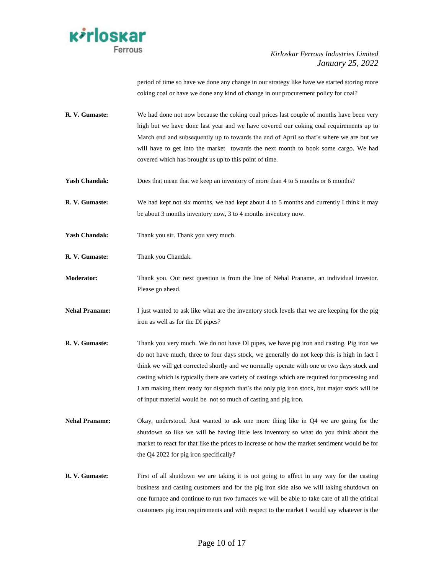

period of time so have we done any change in our strategy like have we started storing more coking coal or have we done any kind of change in our procurement policy for coal?

- **R. V. Gumaste:** We had done not now because the coking coal prices last couple of months have been very high but we have done last year and we have covered our coking coal requirements up to March end and subsequently up to towards the end of April so that"s where we are but we will have to get into the market towards the next month to book some cargo. We had covered which has brought us up to this point of time.
- Yash Chandak: Does that mean that we keep an inventory of more than 4 to 5 months or 6 months?
- **R. V. Gumaste:** We had kept not six months, we had kept about 4 to 5 months and currently I think it may be about 3 months inventory now, 3 to 4 months inventory now.
- Yash Chandak: Thank you sir. Thank you very much.
- **R. V. Gumaste:** Thank you Chandak.
- **Moderator:** Thank you. Our next question is from the line of Nehal Praname, an individual investor. Please go ahead.
- **Nehal Praname:** I just wanted to ask like what are the inventory stock levels that we are keeping for the pig iron as well as for the DI pipes?
- **R. V. Gumaste:** Thank you very much. We do not have DI pipes, we have pig iron and casting. Pig iron we do not have much, three to four days stock, we generally do not keep this is high in fact I think we will get corrected shortly and we normally operate with one or two days stock and casting which is typically there are variety of castings which are required for processing and I am making them ready for dispatch that"s the only pig iron stock, but major stock will be of input material would be not so much of casting and pig iron.
- **Nehal Praname:** Okay, understood. Just wanted to ask one more thing like in O4 we are going for the shutdown so like we will be having little less inventory so what do you think about the market to react for that like the prices to increase or how the market sentiment would be for the Q4 2022 for pig iron specifically?
- **R. V. Gumaste:** First of all shutdown we are taking it is not going to affect in any way for the casting business and casting customers and for the pig iron side also we will taking shutdown on one furnace and continue to run two furnaces we will be able to take care of all the critical customers pig iron requirements and with respect to the market I would say whatever is the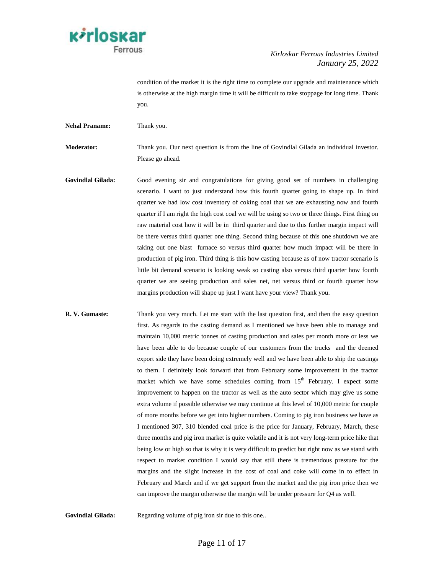

condition of the market it is the right time to complete our upgrade and maintenance which is otherwise at the high margin time it will be difficult to take stoppage for long time. Thank you.

**Nehal Praname:** Thank you.

**Moderator:** Thank you. Our next question is from the line of Govindlal Gilada an individual investor. Please go ahead.

- **Govindlal Gilada:** Good evening sir and congratulations for giving good set of numbers in challenging scenario. I want to just understand how this fourth quarter going to shape up. In third quarter we had low cost inventory of coking coal that we are exhausting now and fourth quarter if I am right the high cost coal we will be using so two or three things. First thing on raw material cost how it will be in third quarter and due to this further margin impact will be there versus third quarter one thing. Second thing because of this one shutdown we are taking out one blast furnace so versus third quarter how much impact will be there in production of pig iron. Third thing is this how casting because as of now tractor scenario is little bit demand scenario is looking weak so casting also versus third quarter how fourth quarter we are seeing production and sales net, net versus third or fourth quarter how margins production will shape up just I want have your view? Thank you.
- **R. V. Gumaste:** Thank you very much. Let me start with the last question first, and then the easy question first. As regards to the casting demand as I mentioned we have been able to manage and maintain 10,000 metric tonnes of casting production and sales per month more or less we have been able to do because couple of our customers from the trucks and the deemed export side they have been doing extremely well and we have been able to ship the castings to them. I definitely look forward that from February some improvement in the tractor market which we have some schedules coming from  $15<sup>th</sup>$  February. I expect some improvement to happen on the tractor as well as the auto sector which may give us some extra volume if possible otherwise we may continue at this level of 10,000 metric for couple of more months before we get into higher numbers. Coming to pig iron business we have as I mentioned 307, 310 blended coal price is the price for January, February, March, these three months and pig iron market is quite volatile and it is not very long-term price hike that being low or high so that is why it is very difficult to predict but right now as we stand with respect to market condition I would say that still there is tremendous pressure for the margins and the slight increase in the cost of coal and coke will come in to effect in February and March and if we get support from the market and the pig iron price then we can improve the margin otherwise the margin will be under pressure for Q4 as well.

Govindlal Gilada: Regarding volume of pig iron sir due to this one..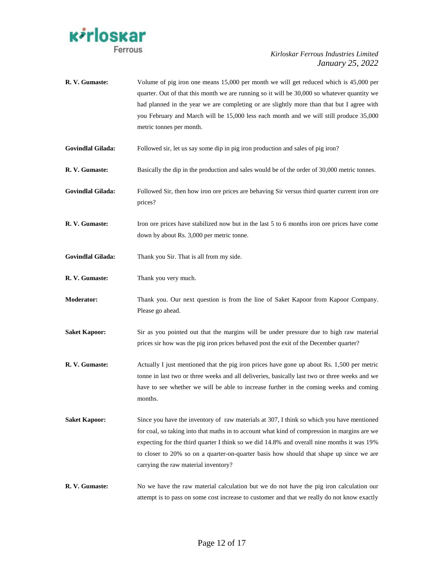

| R. V. Gumaste:           | Volume of pig iron one means 15,000 per month we will get reduced which is 45,000 per<br>quarter. Out of that this month we are running so it will be 30,000 so whatever quantity we<br>had planned in the year we are completing or are slightly more than that but I agree with<br>you February and March will be 15,000 less each month and we will still produce 35,000<br>metric tonnes per month.                    |
|--------------------------|----------------------------------------------------------------------------------------------------------------------------------------------------------------------------------------------------------------------------------------------------------------------------------------------------------------------------------------------------------------------------------------------------------------------------|
| <b>Govindlal Gilada:</b> | Followed sir, let us say some dip in pig iron production and sales of pig iron?                                                                                                                                                                                                                                                                                                                                            |
| R. V. Gumaste:           | Basically the dip in the production and sales would be of the order of 30,000 metric tonnes.                                                                                                                                                                                                                                                                                                                               |
| <b>Govindlal Gilada:</b> | Followed Sir, then how iron ore prices are behaving Sir versus third quarter current iron ore<br>prices?                                                                                                                                                                                                                                                                                                                   |
| R. V. Gumaste:           | Iron ore prices have stabilized now but in the last 5 to 6 months iron ore prices have come<br>down by about Rs. 3,000 per metric tonne.                                                                                                                                                                                                                                                                                   |
| <b>Govindlal Gilada:</b> | Thank you Sir. That is all from my side.                                                                                                                                                                                                                                                                                                                                                                                   |
| R. V. Gumaste:           | Thank you very much.                                                                                                                                                                                                                                                                                                                                                                                                       |
| <b>Moderator:</b>        | Thank you. Our next question is from the line of Saket Kapoor from Kapoor Company.<br>Please go ahead.                                                                                                                                                                                                                                                                                                                     |
| <b>Saket Kapoor:</b>     | Sir as you pointed out that the margins will be under pressure due to high raw material<br>prices sir how was the pig iron prices behaved post the exit of the December quarter?                                                                                                                                                                                                                                           |
| R. V. Gumaste:           | Actually I just mentioned that the pig iron prices have gone up about Rs. 1,500 per metric<br>tonne in last two or three weeks and all deliveries, basically last two or three weeks and we<br>have to see whether we will be able to increase further in the coming weeks and coming<br>months.                                                                                                                           |
| <b>Saket Kapoor:</b>     | Since you have the inventory of raw materials at 307, I think so which you have mentioned<br>for coal, so taking into that maths in to account what kind of compression in margins are we<br>expecting for the third quarter I think so we did 14.8% and overall nine months it was 19%<br>to closer to 20% so on a quarter-on-quarter basis how should that shape up since we are<br>carrying the raw material inventory? |
| R. V. Gumaste:           | No we have the raw material calculation but we do not have the pig iron calculation our<br>attempt is to pass on some cost increase to customer and that we really do not know exactly                                                                                                                                                                                                                                     |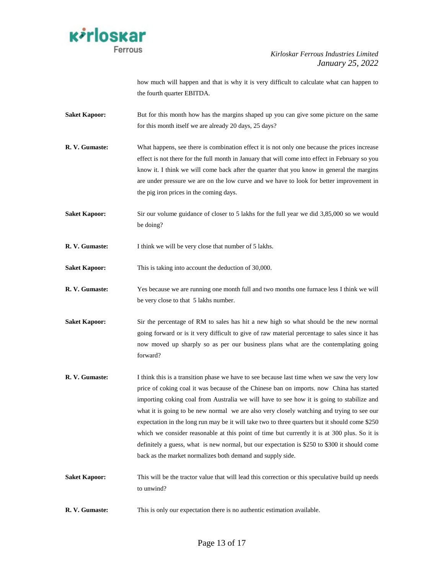

how much will happen and that is why it is very difficult to calculate what can happen to the fourth quarter EBITDA.

- **Saket Kapoor:** But for this month how has the margins shaped up you can give some picture on the same for this month itself we are already 20 days, 25 days?
- **R. V. Gumaste:** What happens, see there is combination effect it is not only one because the prices increase effect is not there for the full month in January that will come into effect in February so you know it. I think we will come back after the quarter that you know in general the margins are under pressure we are on the low curve and we have to look for better improvement in the pig iron prices in the coming days.
- **Saket Kapoor:** Sir our volume guidance of closer to 5 lakhs for the full year we did 3,85,000 so we would be doing?
- **R. V. Gumaste:** I think we will be very close that number of 5 lakhs.
- **Saket Kapoor:** This is taking into account the deduction of 30,000.
- **R. V. Gumaste:** Yes because we are running one month full and two months one furnace less I think we will be very close to that 5 lakhs number.
- **Saket Kapoor:** Sir the percentage of RM to sales has hit a new high so what should be the new normal going forward or is it very difficult to give of raw material percentage to sales since it has now moved up sharply so as per our business plans what are the contemplating going forward?
- **R. V. Gumaste:** I think this is a transition phase we have to see because last time when we saw the very low price of coking coal it was because of the Chinese ban on imports. now China has started importing coking coal from Australia we will have to see how it is going to stabilize and what it is going to be new normal we are also very closely watching and trying to see our expectation in the long run may be it will take two to three quarters but it should come \$250 which we consider reasonable at this point of time but currently it is at 300 plus. So it is definitely a guess, what is new normal, but our expectation is \$250 to \$300 it should come back as the market normalizes both demand and supply side.
- **Saket Kapoor:** This will be the tractor value that will lead this correction or this speculative build up needs to unwind?
- **R. V. Gumaste:** This is only our expectation there is no authentic estimation available.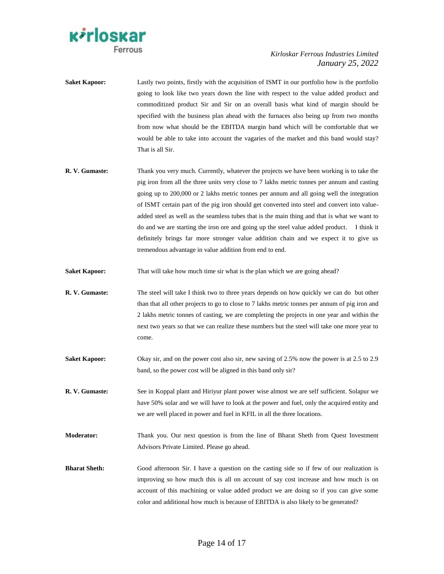

- **Saket Kapoor:** Lastly two points, firstly with the acquisition of ISMT in our portfolio how is the portfolio going to look like two years down the line with respect to the value added product and commoditized product Sir and Sir on an overall basis what kind of margin should be specified with the business plan ahead with the furnaces also being up from two months from now what should be the EBITDA margin band which will be comfortable that we would be able to take into account the vagaries of the market and this band would stay? That is all Sir.
- **R. V. Gumaste:** Thank you very much. Currently, whatever the projects we have been working is to take the pig iron from all the three units very close to 7 lakhs metric tonnes per annum and casting going up to 200,000 or 2 lakhs metric tonnes per annum and all going well the integration of ISMT certain part of the pig iron should get converted into steel and convert into valueadded steel as well as the seamless tubes that is the main thing and that is what we want to do and we are starting the iron ore and going up the steel value added product. I think it definitely brings far more stronger value addition chain and we expect it to give us tremendous advantage in value addition from end to end.
- **Saket Kapoor:** That will take how much time sir what is the plan which we are going ahead?
- **R. V. Gumaste:** The steel will take I think two to three years depends on how quickly we can do but other than that all other projects to go to close to 7 lakhs metric tonnes per annum of pig iron and 2 lakhs metric tonnes of casting, we are completing the projects in one year and within the next two years so that we can realize these numbers but the steel will take one more year to come.
- **Saket Kapoor:** Okay sir, and on the power cost also sir, new saving of 2.5% now the power is at 2.5 to 2.9 band, so the power cost will be aligned in this band only sir?
- **R. V. Gumaste:** See in Koppal plant and Hiriyur plant power wise almost we are self sufficient. Solapur we have 50% solar and we will have to look at the power and fuel, only the acquired entity and we are well placed in power and fuel in KFIL in all the three locations.
- **Moderator:** Thank you. Our next question is from the line of Bharat Sheth from Quest Investment Advisors Private Limited. Please go ahead.
- **Bharat Sheth:** Good afternoon Sir. I have a question on the casting side so if few of our realization is improving so how much this is all on account of say cost increase and how much is on account of this machining or value added product we are doing so if you can give some color and additional how much is because of EBITDA is also likely to be generated?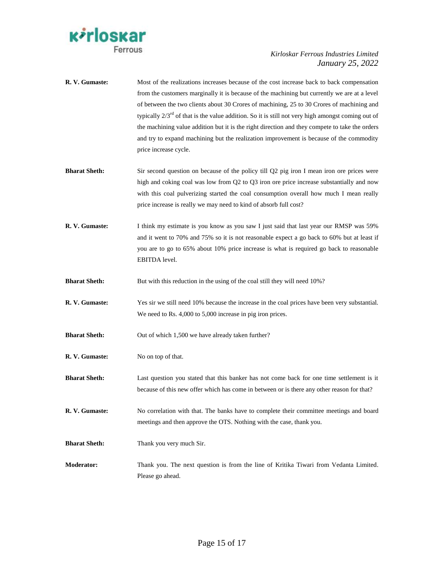

| R. V. Gumaste:       | Most of the realizations increases because of the cost increase back to back compensation<br>from the customers marginally it is because of the machining but currently we are at a level<br>of between the two clients about 30 Crores of machining, 25 to 30 Crores of machining and<br>typically $2/3^{rd}$ of that is the value addition. So it is still not very high amongst coming out of<br>the machining value addition but it is the right direction and they compete to take the orders<br>and try to expand machining but the realization improvement is because of the commodity<br>price increase cycle. |
|----------------------|------------------------------------------------------------------------------------------------------------------------------------------------------------------------------------------------------------------------------------------------------------------------------------------------------------------------------------------------------------------------------------------------------------------------------------------------------------------------------------------------------------------------------------------------------------------------------------------------------------------------|
| <b>Bharat Sheth:</b> | Sir second question on because of the policy till Q2 pig iron I mean iron ore prices were<br>high and coking coal was low from Q2 to Q3 iron ore price increase substantially and now<br>with this coal pulverizing started the coal consumption overall how much I mean really<br>price increase is really we may need to kind of absorb full cost?                                                                                                                                                                                                                                                                   |
| R. V. Gumaste:       | I think my estimate is you know as you saw I just said that last year our RMSP was 59%<br>and it went to 70% and 75% so it is not reasonable expect a go back to 60% but at least if<br>you are to go to 65% about 10% price increase is what is required go back to reasonable<br>EBITDA level.                                                                                                                                                                                                                                                                                                                       |
| <b>Bharat Sheth:</b> | But with this reduction in the using of the coal still they will need 10%?                                                                                                                                                                                                                                                                                                                                                                                                                                                                                                                                             |
| R. V. Gumaste:       | Yes sir we still need 10% because the increase in the coal prices have been very substantial.<br>We need to Rs. 4,000 to 5,000 increase in pig iron prices.                                                                                                                                                                                                                                                                                                                                                                                                                                                            |
| <b>Bharat Sheth:</b> | Out of which 1,500 we have already taken further?                                                                                                                                                                                                                                                                                                                                                                                                                                                                                                                                                                      |
| R. V. Gumaste:       | No on top of that.                                                                                                                                                                                                                                                                                                                                                                                                                                                                                                                                                                                                     |
| <b>Bharat Sheth:</b> | Last question you stated that this banker has not come back for one time settlement is it<br>because of this new offer which has come in between or is there any other reason for that?                                                                                                                                                                                                                                                                                                                                                                                                                                |
| R. V. Gumaste:       | No correlation with that. The banks have to complete their committee meetings and board<br>meetings and then approve the OTS. Nothing with the case, thank you.                                                                                                                                                                                                                                                                                                                                                                                                                                                        |
| <b>Bharat Sheth:</b> | Thank you very much Sir.                                                                                                                                                                                                                                                                                                                                                                                                                                                                                                                                                                                               |
| <b>Moderator:</b>    | Thank you. The next question is from the line of Kritika Tiwari from Vedanta Limited.<br>Please go ahead.                                                                                                                                                                                                                                                                                                                                                                                                                                                                                                              |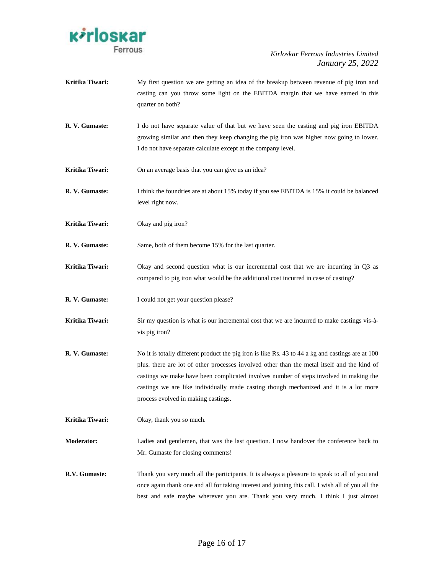

| Kritika Tiwari:   | My first question we are getting an idea of the breakup between revenue of pig iron and<br>casting can you throw some light on the EBITDA margin that we have earned in this<br>quarter on both?                                                                                                                                                                                                                           |
|-------------------|----------------------------------------------------------------------------------------------------------------------------------------------------------------------------------------------------------------------------------------------------------------------------------------------------------------------------------------------------------------------------------------------------------------------------|
| R. V. Gumaste:    | I do not have separate value of that but we have seen the casting and pig iron EBITDA<br>growing similar and then they keep changing the pig iron was higher now going to lower.<br>I do not have separate calculate except at the company level.                                                                                                                                                                          |
| Kritika Tiwari:   | On an average basis that you can give us an idea?                                                                                                                                                                                                                                                                                                                                                                          |
| R. V. Gumaste:    | I think the foundries are at about 15% today if you see EBITDA is 15% it could be balanced<br>level right now.                                                                                                                                                                                                                                                                                                             |
| Kritika Tiwari:   | Okay and pig iron?                                                                                                                                                                                                                                                                                                                                                                                                         |
| R. V. Gumaste:    | Same, both of them become 15% for the last quarter.                                                                                                                                                                                                                                                                                                                                                                        |
| Kritika Tiwari:   | Okay and second question what is our incremental cost that we are incurring in Q3 as<br>compared to pig iron what would be the additional cost incurred in case of casting?                                                                                                                                                                                                                                                |
| R. V. Gumaste:    | I could not get your question please?                                                                                                                                                                                                                                                                                                                                                                                      |
| Kritika Tiwari:   | Sir my question is what is our incremental cost that we are incurred to make castings vis-à-<br>vis pig iron?                                                                                                                                                                                                                                                                                                              |
| R. V. Gumaste:    | No it is totally different product the pig iron is like Rs. 43 to 44 a kg and castings are at 100<br>plus. there are lot of other processes involved other than the metal itself and the kind of<br>castings we make have been complicated involves number of steps involved in making the<br>castings we are like individually made casting though mechanized and it is a lot more<br>process evolved in making castings. |
| Kritika Tiwari:   | Okay, thank you so much.                                                                                                                                                                                                                                                                                                                                                                                                   |
| <b>Moderator:</b> | Ladies and gentlemen, that was the last question. I now handover the conference back to<br>Mr. Gumaste for closing comments!                                                                                                                                                                                                                                                                                               |
| R.V. Gumaste:     | Thank you very much all the participants. It is always a pleasure to speak to all of you and<br>once again thank one and all for taking interest and joining this call. I wish all of you all the                                                                                                                                                                                                                          |

best and safe maybe wherever you are. Thank you very much. I think I just almost